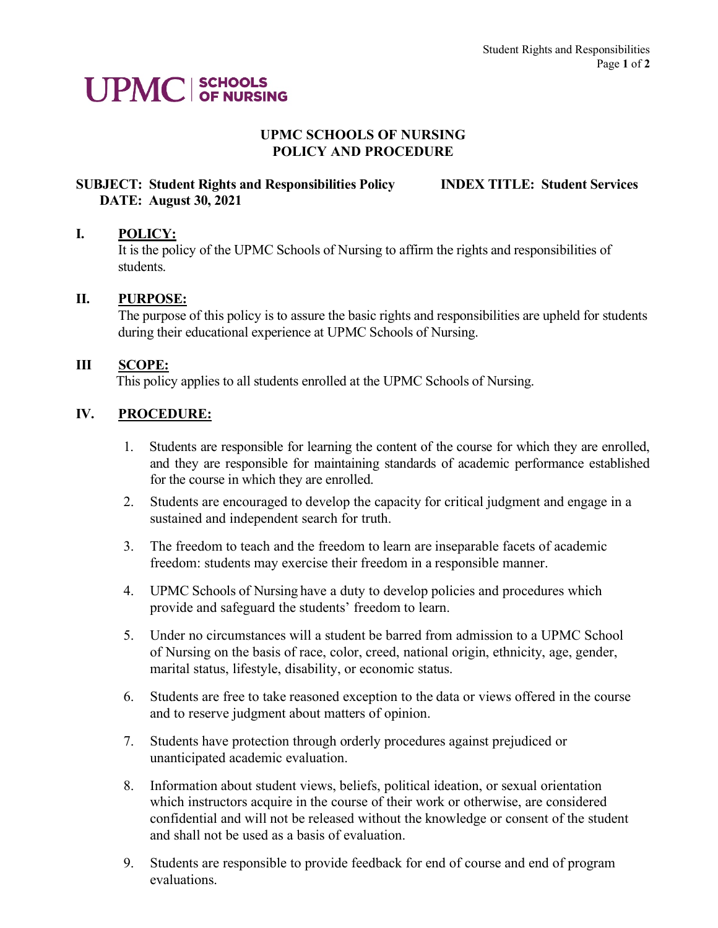# **UPMC** SCHOOLS

#### **UPMC SCHOOLS OF NURSING POLICY AND PROCEDURE**

# **SUBJECT: Student Rights and Responsibilities Policy INDEX TITLE: Student Services DATE: August 30, 2021**

### **I. POLICY:**

It is the policy of the UPMC Schools of Nursing to affirm the rights and responsibilities of students.

### **II. PURPOSE:**

The purpose of this policy is to assure the basic rights and responsibilities are upheld for students during their educational experience at UPMC Schools of Nursing.

#### **III SCOPE:**

This policy applies to all students enrolled at the UPMC Schools of Nursing.

### **IV. PROCEDURE:**

- 1. Students are responsible for learning the content of the course for which they are enrolled, and they are responsible for maintaining standards of academic performance established for the course in which they are enrolled.
- 2. Students are encouraged to develop the capacity for critical judgment and engage in a sustained and independent search for truth.
- 3. The freedom to teach and the freedom to learn are inseparable facets of academic freedom: students may exercise their freedom in a responsible manner.
- 4. UPMC Schools of Nursing have a duty to develop policies and procedures which provide and safeguard the students' freedom to learn.
- 5. Under no circumstances will a student be barred from admission to a UPMC School of Nursing on the basis of race, color, creed, national origin, ethnicity, age, gender, marital status, lifestyle, disability, or economic status.
- 6. Students are free to take reasoned exception to the data or views offered in the course and to reserve judgment about matters of opinion.
- 7. Students have protection through orderly procedures against prejudiced or unanticipated academic evaluation.
- 8. Information about student views, beliefs, political ideation, or sexual orientation which instructors acquire in the course of their work or otherwise, are considered confidential and will not be released without the knowledge or consent of the student and shall not be used as a basis of evaluation.
- 9. Students are responsible to provide feedback for end of course and end of program evaluations.